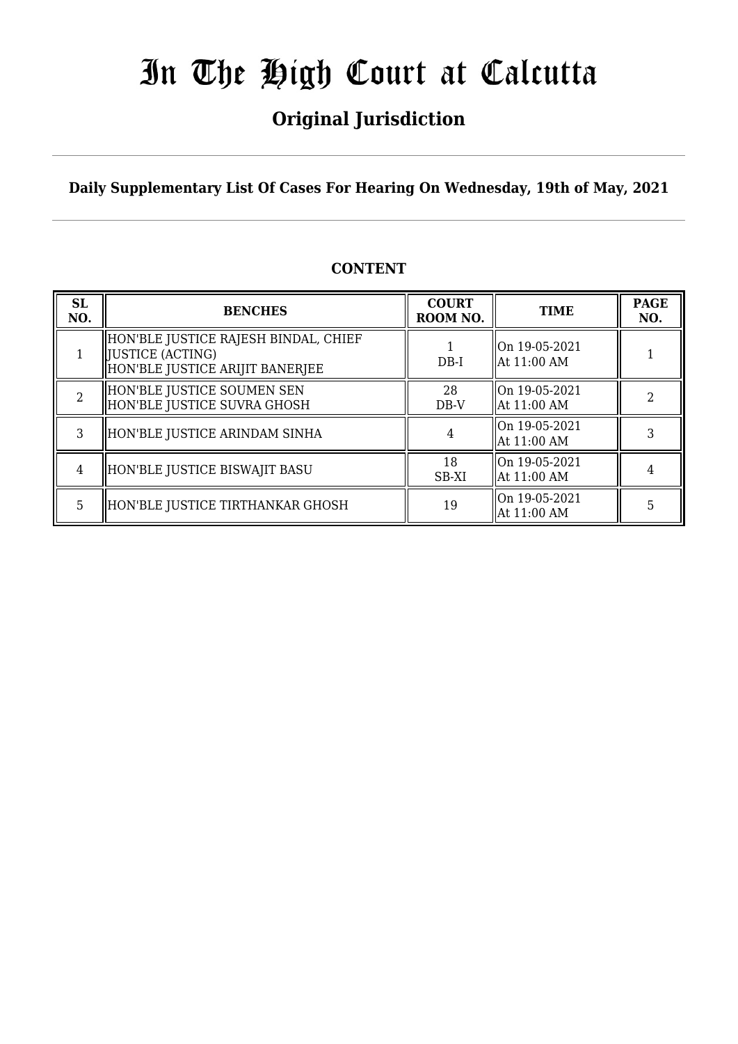## **Original Jurisdiction**

**Daily Supplementary List Of Cases For Hearing On Wednesday, 19th of May, 2021**

### **CONTENT**

| <b>SL</b><br>NO. | <b>BENCHES</b>                                                                               | <b>COURT</b><br>ROOM NO. | <b>TIME</b>                                | <b>PAGE</b><br>NO. |
|------------------|----------------------------------------------------------------------------------------------|--------------------------|--------------------------------------------|--------------------|
|                  | HON'BLE JUSTICE RAJESH BINDAL, CHIEF<br>[JUSTICE (ACTING)<br>HON'BLE JUSTICE ARIJIT BANERJEE | $DB-I$                   | On 19-05-2021<br>  At 11:00 AM             |                    |
|                  | HON'BLE JUSTICE SOUMEN SEN<br>HON'BLE JUSTICE SUVRA GHOSH                                    | 28<br>DB-V               | On 19-05-2021<br>  At 11:00 AM             |                    |
| 3                | HON'BLE JUSTICE ARINDAM SINHA                                                                |                          | On 19-05-2021<br>At 11:00 AM               |                    |
| 4                | HON'BLE JUSTICE BISWAJIT BASU                                                                | 18<br>SB-XI              | $\parallel$ On 19-05-2021<br>  At 11:00 AM |                    |
| 5.               | HON'BLE JUSTICE TIRTHANKAR GHOSH                                                             | 19                       | On 19-05-2021<br>At 11:00 AM               | 5                  |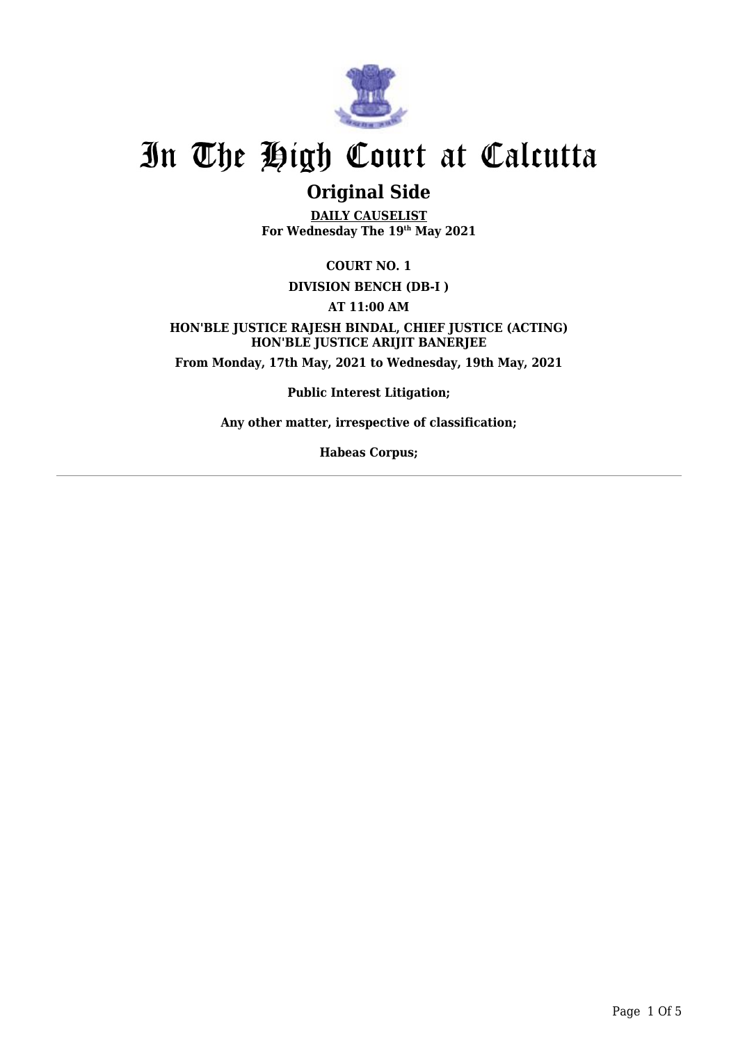

### **Original Side**

**DAILY CAUSELIST For Wednesday The 19th May 2021**

**COURT NO. 1**

**DIVISION BENCH (DB-I )**

**AT 11:00 AM**

**HON'BLE JUSTICE RAJESH BINDAL, CHIEF JUSTICE (ACTING) HON'BLE JUSTICE ARIJIT BANERJEE From Monday, 17th May, 2021 to Wednesday, 19th May, 2021**

**Public Interest Litigation;**

**Any other matter, irrespective of classification;**

**Habeas Corpus;**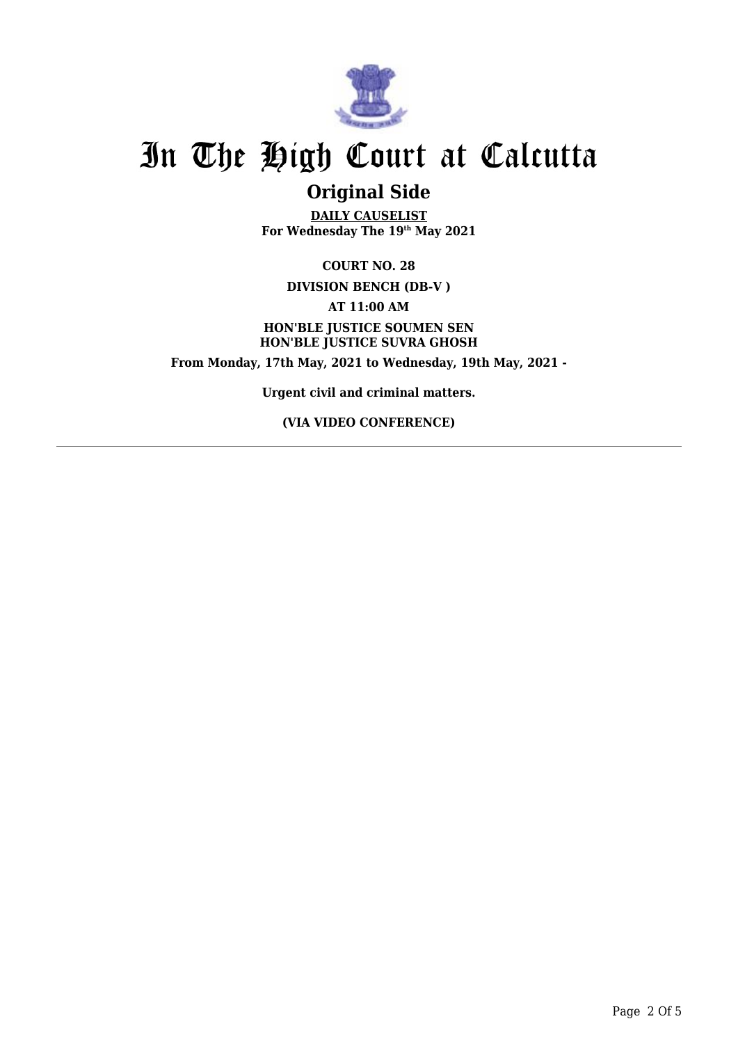

### **Original Side**

**DAILY CAUSELIST For Wednesday The 19th May 2021**

**COURT NO. 28 DIVISION BENCH (DB-V ) AT 11:00 AM HON'BLE JUSTICE SOUMEN SEN HON'BLE JUSTICE SUVRA GHOSH From Monday, 17th May, 2021 to Wednesday, 19th May, 2021 -**

**Urgent civil and criminal matters.**

**(VIA VIDEO CONFERENCE)**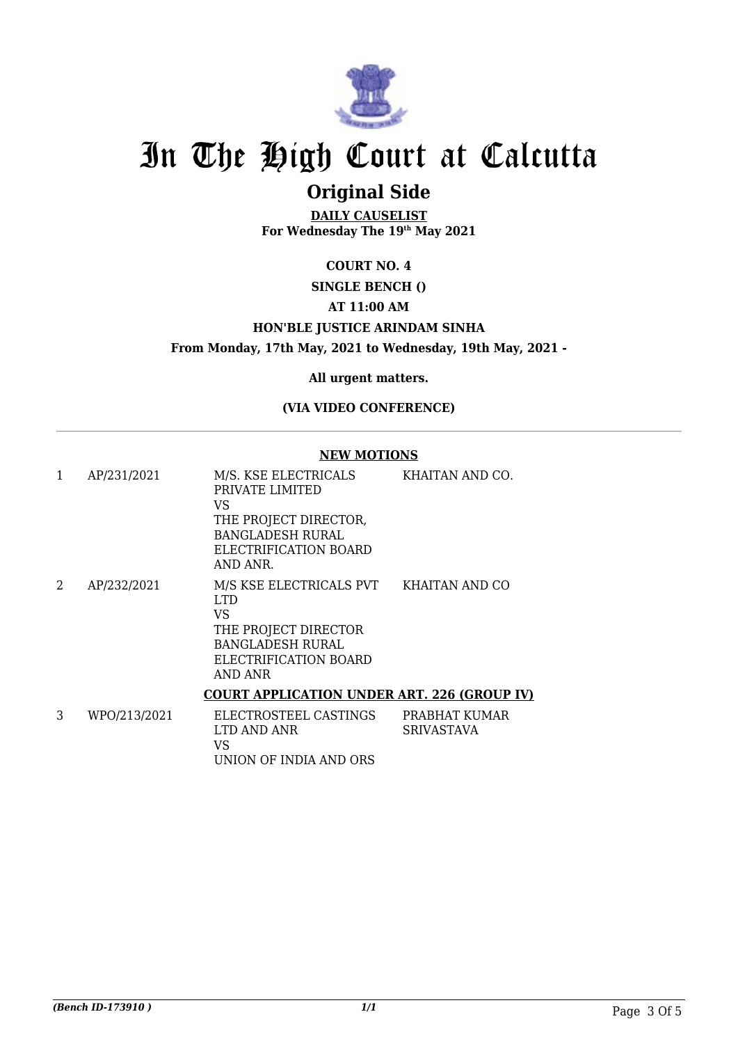

## **Original Side**

**DAILY CAUSELIST For Wednesday The 19th May 2021**

#### **COURT NO. 4**

#### **SINGLE BENCH ()**

#### **AT 11:00 AM**

#### **HON'BLE JUSTICE ARINDAM SINHA**

**From Monday, 17th May, 2021 to Wednesday, 19th May, 2021 -**

**All urgent matters.**

#### **(VIA VIDEO CONFERENCE)**

#### **NEW MOTIONS**

| 1 | AP/231/2021  | M/S. KSE ELECTRICALS<br>PRIVATE LIMITED<br>VS<br>THE PROJECT DIRECTOR,<br><b>BANGLADESH RURAL</b><br>ELECTRIFICATION BOARD<br>AND ANR.      | KHAITAN AND CO. |
|---|--------------|---------------------------------------------------------------------------------------------------------------------------------------------|-----------------|
| 2 | AP/232/2021  | M/S KSE ELECTRICALS PVT KHAITAN AND CO<br>LTD.<br>VS<br>THE PROJECT DIRECTOR<br><b>BANGLADESH RURAL</b><br>ELECTRIFICATION BOARD<br>AND ANR |                 |
|   |              | <b>COURT APPLICATION UNDER ART. 226 (GROUP IV)</b>                                                                                          |                 |
|   | WPO/213/2021 | FI FCTROSTFFI CASTINGS                                                                                                                      | PRARHAT KIIMAR  |

| WPO/213/2021 | ELECTROSTEEL CASTINGS  | PRABHAT KUMAR |
|--------------|------------------------|---------------|
|              | LTD AND ANR            | SRIVASTAVA    |
|              | VS                     |               |
|              | UNION OF INDIA AND ORS |               |
|              |                        |               |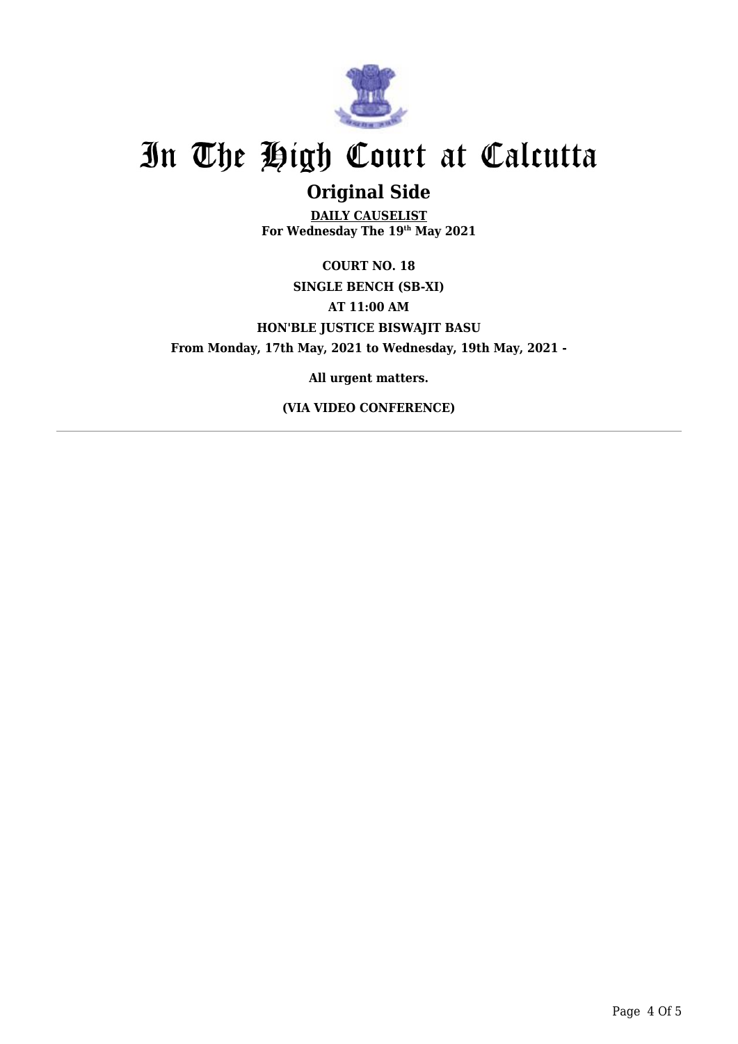

### **Original Side**

**DAILY CAUSELIST For Wednesday The 19th May 2021**

**COURT NO. 18 SINGLE BENCH (SB-XI) AT 11:00 AM HON'BLE JUSTICE BISWAJIT BASU From Monday, 17th May, 2021 to Wednesday, 19th May, 2021 -**

**All urgent matters.**

**(VIA VIDEO CONFERENCE)**